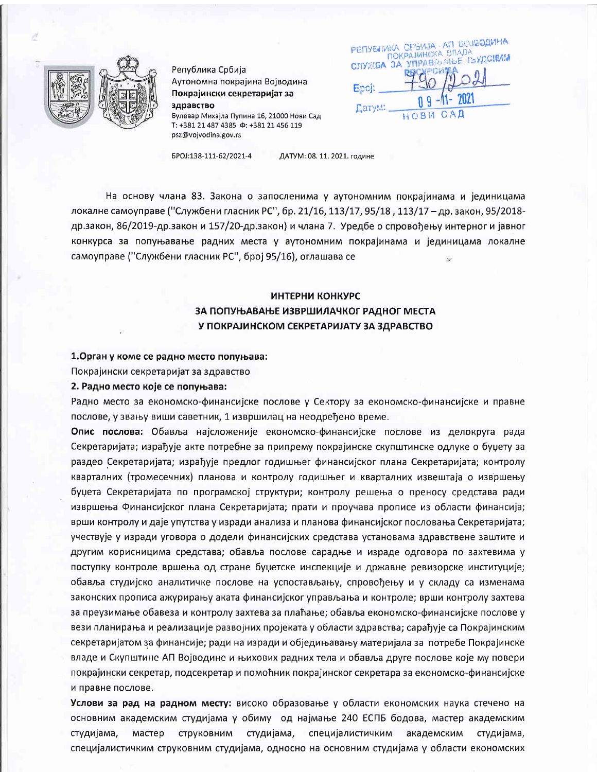

Република Србија Аутономна покрајина Војводина Покрајински секретаријат за здравство Булевар Михајла Пупина 16, 21000 Нови Сад T: +381 21 487 4385  $\Phi$ : +381 21 456 119 psz@vojvodina.gov.rs

PETIYENINKA CPEMJA - AM GOJSOAMHA **ПОКРАЈИНСКА ВЛАДА** СЛУЖБА ЗА УПРАВЉАЊЕ ЉУДСКИМ Epoi: Датум:

EPOJ:138-111-62/2021-4

ДАТУМ: 08. 11. 2021. године

На основу члана 83. Закона о запосленима у аутономним покрајинама и јединицама локалне самоуправе ("Службени гласник РС", бр. 21/16, 113/17, 95/18, 113/17 - др. закон, 95/2018др.закон, 86/2019-др.закон и 157/20-др.закон) и члана 7. Уредбе о спровођењу интерног и јавног конкурса за попуњавање радних места у аутономним покрајинама и јединицама локалне самоуправе ("Службени гласник РС", број 95/16), оглашава се

# ИНТЕРНИ КОНКУРС ЗА ПОПУЊАВАЊЕ ИЗВРШИЛАЧКОГ РАДНОГ МЕСТА У ПОКРАЈИНСКОМ СЕКРЕТАРИЈАТУ ЗА ЗДРАВСТВО

#### 1. Орган у коме се радно место попуњава:

Покрајински секретаријат за здравство

### 2. Радно место које се попуњава:

Радно место за економско-финансијске послове у Сектору за економско-финансијске и правне послове, у звању виши саветник, 1 извршилац на неодређено време.

Опис послова: Обавља најсложеније економско-финансијске послове из делокруга рада Секретаријата; израђује акте потребне за припрему покрајинске скупштинске одлуке о буџету за раздео Секретаријата; израђује предлог годишњег финансијског плана Секретаријата; контролу кварталних (тромесечних) планова и контролу годишњег и кварталних извештаја о извршењу буџета Секретаријата по програмској структури; контролу решења о преносу средстава ради извршења Финансијског плана Секретаријата; прати и проучава прописе из области финансија; врши контролу и даје упутства у изради анализа и планова финансијског пословања Секретаријата; учествује у изради уговора о додели финансијских средстава установама здравствене заштите и другим корисницима средстава; обавља послове сарадње и израде одговора по захтевима у поступку контроле вршења од стране буџетске инспекције и државне ревизорске институције; обавља студијско аналитичке послове на успостављању, спровођењу и у складу са изменама законских прописа ажурирању аката финансијског управљања и контроле; врши контролу захтева за преузимање обавеза и контролу захтева за плаћање; обавља економско-финансијске послове у вези планирања и реализације развојних пројеката у области здравства; сарађује са Покрајинским секретаријатом за финансије; ради на изради и обједињавању материјала за потребе Покрајинске владе и Скупштине АП Војводине и њихових радних тела и обавља друге послове које му повери покрајински секретар, подсекретар и помоћник покрајинског секретара за економско-финансијске и правне послове.

Услови за рад на радном месту: високо образовање у области економских наука стечено на основним академским студијама у обиму од најмање 240 ЕСПБ бодова, мастер академским мастер струковним студијама, специјалистичким академским студијама, студијама, специјалистичким струковним студијама, односно на основним студијама у области економских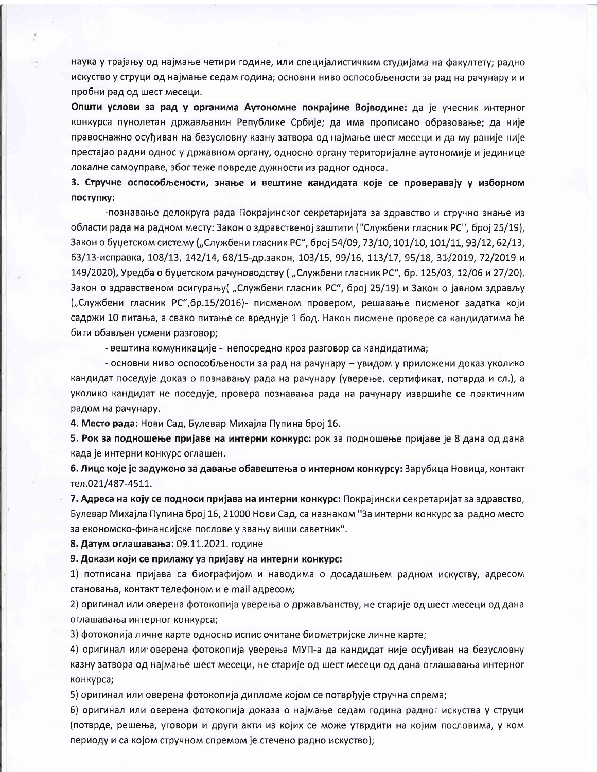наука у трајању од најмање четири године, или специјалистичким студијама на факултету; радно искуство у струци од најмање седам година; основни ниво оспособљености за рад на рачунару и и пробни рад од шест месеци.

Општи услови за рад у органима Аутономне покрајине Војводине: да је учесник интерног конкурса пунолетан држављанин Републике Србије; да има прописано образовање; да није правоснажно осуђиван на безусловну казну затвора од најмање шест месеци и да му раније није престајао радни однос у државном органу, односно органу територијалне аутономије и јединице локалне самоуправе, због теже повреде дужности из радног односа.

3. Стручне оспособљености, знање и вештине кандидата које се проверавају у изборном поступку:

-познавање делокруга рада Покрајинског секретаријата за здравство и стручно знање из области рада на радном месту: Закон о здравственој заштити ("Службени гласник РС", број 25/19), Закон о буџетском систему ("Службени гласник РС", број 54/09, 73/10, 101/10, 101/11, 93/12, 62/13, 63/13-исправка, 108/13, 142/14, 68/15-др.закон, 103/15, 99/16, 113/17, 95/18, 31/2019, 72/2019 и 149/2020), Уредба о буџетском рачуноводству ("Службени гласник РС", бр. 125/03, 12/06 и 27/20), Закон о здравственом осигурању ("Службени гласник РС", број 25/19) и Закон о јавном здрављу ("Службени гласник РС", бр.15/2016)- писменом провером, решавање писменог задатка који садржи 10 питања, а свако питање се вреднује 1 бод. Након писмене провере са кандидатима ће бити обављен усмени разговор;

- вештина комуникације - непосредно кроз разговор са кандидатима;

- основни ниво оспособљености за рад на рачунару - увидом у приложени доказ уколико кандидат поседује доказ о познавању рада на рачунару (уверење, сертификат, потврда и сл.), а уколико кандидат не поседује, провера познавања рада на рачунару извршиће се практичним радом на рачунару.

4. Место рада: Нови Сад, Булевар Михајла Пупина број 16.

5. Рок за подношење пријаве на интерни конкурс: рок за подношење пријаве је 8 дана од дана када је интерни конкурс оглашен.

6. Лице које је задужено за давање обавештења о интерном конкурсу: Зарубица Новица, контакт тел.021/487-4511.

7. Адреса на коју се подноси пријава на интерни конкурс: Покрајински секретаријат за здравство, Булевар Михајла Пупина број 16, 21000 Нови Сад, са назнаком "За интерни конкурс за радно место за економско-финансијске послове у звању виши саветник".

8. Датум оглашавања: 09.11.2021. године

9. Докази који се прилажу уз пријаву на интерни конкурс:

1) потписана пријава са биографијом и наводима о досадашњем радном искуству, адресом становања, контакт телефоном и е mail адресом;

2) оригинал или оверена фотокопија уверења о држављанству, не старије од шест месеци од дана оглашавања интерног конкурса;

3) фотокопија личне карте односно испис очитане биометријске личне карте;

4) оригинал или оверена фотокопија уверења МУП-а да кандидат није осуђиван на безусловну казну затвора од најмање шест месеци, не старије од шест месеци од дана оглашавања интерног конкурса;

5) оригинал или оверена фотокопија дипломе којом се потврђује стручна спрема;

6) оригинал или оверена фотокопија доказа о најмање седам година радног искуства у струци (потврде, решења, уговори и други акти из којих се може утврдити на којим пословима, у ком периоду и са којом стручном спремом је стечено радно искуство);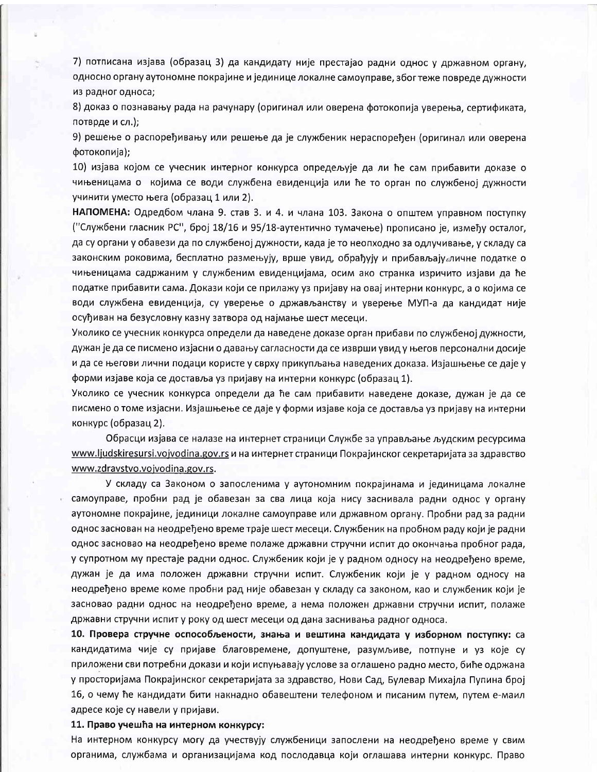7) потписана изјава (образац 3) да кандидату није престајао радни однос у државном органу, односно органу аутономне покрајине и јединице локалне самоуправе, због теже повреде дужности из радног односа;

8) доказ о познавању рада на рачунару (оригинал или оверена фотокопија уверења, сертификата, потврде и сл.);

9) решење о распоређивању или решење да је службеник нераспоређен (оригинал или оверена фотокопија);

10) изјава којом се учесник интерног конкурса опредељује да ли ће сам прибавити доказе о чињеницама о којима се води службена евиденција или ће то орган по службеној дужности учинити уместо њега (образац 1 или 2).

НАПОМЕНА: Одредбом члана 9. став 3. и 4. и члана 103. Закона о општем управном поступку ("Службени гласник РС", број 18/16 и 95/18-аутентично тумачење) прописано је, између осталог, да су органи у обавези да по службеној дужности, када је то неопходно за одлучивање, у складу са законским роковима, бесплатно размењују, врше увид, обрађују и прибављају личне податке о чињеницама садржаним у службеним евиденцијама, осим ако странка изричито изјави да ће податке прибавити сама. Докази који се прилажу уз пријаву на овај интерни конкурс, а о којима се води службена евиденција, су уверење о држављанству и уверење МУП-а да кандидат није осуђиван на безусловну казну затвора од најмање шест месеци.

Уколико се учесник конкурса определи да наведене доказе орган прибави по службеној дужности, дужан је да се писмено изјасни о давању сагласности да се изврши увид у његов персонални досије и да се његови лични подаци користе у сврху прикупљања наведених доказа. Изјашњење се даје у форми изјаве која се доставља уз пријаву на интерни конкурс (образац 1).

Уколико се учесник конкурса определи да ће сам прибавити наведене доказе, дужан је да се писмено о томе изјасни. Изјашњење се даје у форми изјаве која се доставља уз пријаву на интерни конкурс (образац 2).

Обрасци изјава се налазе на интернет страници Службе за управљање људским ресурсима <u>www.ljudskiresursi.vojvodina.gov.rs</u> и на интернет страници Покрајинског секретаријата за здравство www.zdravstvo.vojvodina.gov.rs.

У складу са Законом о запосленима у аутономним покрајинама и јединицама локалне самоуправе, пробни рад је обавезан за сва лица која нису заснивала радни однос у органу аутономне покрајине, јединици локалне самоуправе или државном органу. Пробни рад за радни однос заснован на неодређено време траје шест месеци. Службеник на пробном раду који је радни однос засновао на неодређено време полаже државни стручни испит до окончања пробног рада, у супротном му престаје радни однос. Службеник који је у радном односу на неодређено време, дүжан је да има положен државни стручни испит. Службеник који је у радном односу на неодређено време коме пробни рад није обавезан у складу са законом, као и службеник који је засновао радни однос на неодређено време, а нема положен државни стручни испит, полаже државни стручни испит у року од шест месеци од дана заснивања радног односа.

10. Провера стручне оспособљености, знања и вештина кандидата у изборном поступку: са кандидатима чије су пријаве благовремене, допуштене, разумљиве, потпуне и уз које су приложени сви потребни докази и који испуњавају услове за оглашено радно место, биће одржана у просторијама Покрајинског секретаријата за здравство, Нови Сад, Булевар Михајла Пупина број 16, о чему ће кандидати бити накнадно обавештени телефоном и писаним путем, путем е-маил адресе које су навели у пријави.

#### 11. Право учешћа на интерном конкурсу:

На интерном конкурсу могу да учествују службеници запослени на неодређено време у свим органима, службама и организацијама код послодавца који оглашава интерни конкурс. Право